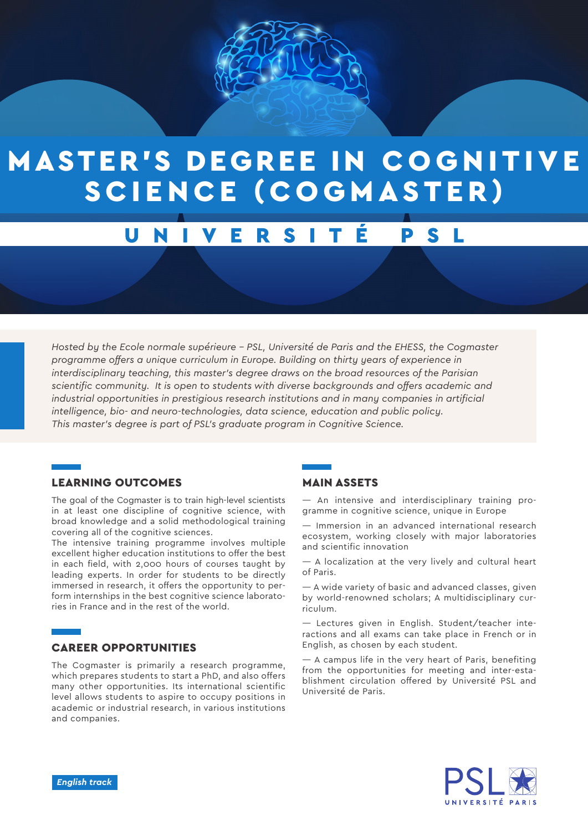

# **MASTER'S DEGREE IN COGNITIVE** SCIENCE (COGMASTER)

#### E R S Ξ N D

*Hosted by the Ecole normale supérieure - PSL, Université de Paris and the EHESS, the Cogmaster programme offers a unique curriculum in Europe. Building on thirty years of experience in interdisciplinary teaching, this master's degree draws on the broad resources of the Parisian scientific community. It is open to students with diverse backgrounds and offers academic and industrial opportunities in prestigious research institutions and in many companies in artificial intelligence, bio- and neuro-technologies, data science, education and public policy. This master's degree is part of PSL's graduate program in Cognitive Science.*

# LEARNING OUTCOMES

The goal of the Cogmaster is to train high-level scientists in at least one discipline of cognitive science, with broad knowledge and a solid methodological training covering all of the cognitive sciences.

The intensive training programme involves multiple excellent higher education institutions to offer the best in each field, with 2,000 hours of courses taught by leading experts. In order for students to be directly immersed in research, it offers the opportunity to perform internships in the best cognitive science laboratories in France and in the rest of the world.

# CAREER OPPORTUNITIES

The Cogmaster is primarily a research programme, which prepares students to start a PhD, and also offers many other opportunities. Its international scientific level allows students to aspire to occupy positions in academic or industrial research, in various institutions and companies.

# MAIN ASSETS

— An intensive and interdisciplinary training programme in cognitive science, unique in Europe

— Immersion in an advanced international research ecosystem, working closely with major laboratories and scientific innovation

— A localization at the very lively and cultural heart of Paris.

— A wide variety of basic and advanced classes, given by world-renowned scholars; A multidisciplinary curriculum.

— Lectures given in English. Student/teacher interactions and all exams can take place in French or in English, as chosen by each student.

— A campus life in the very heart of Paris, benefiting from the opportunities for meeting and inter-establishment circulation offered by Université PSL and Université de Paris.